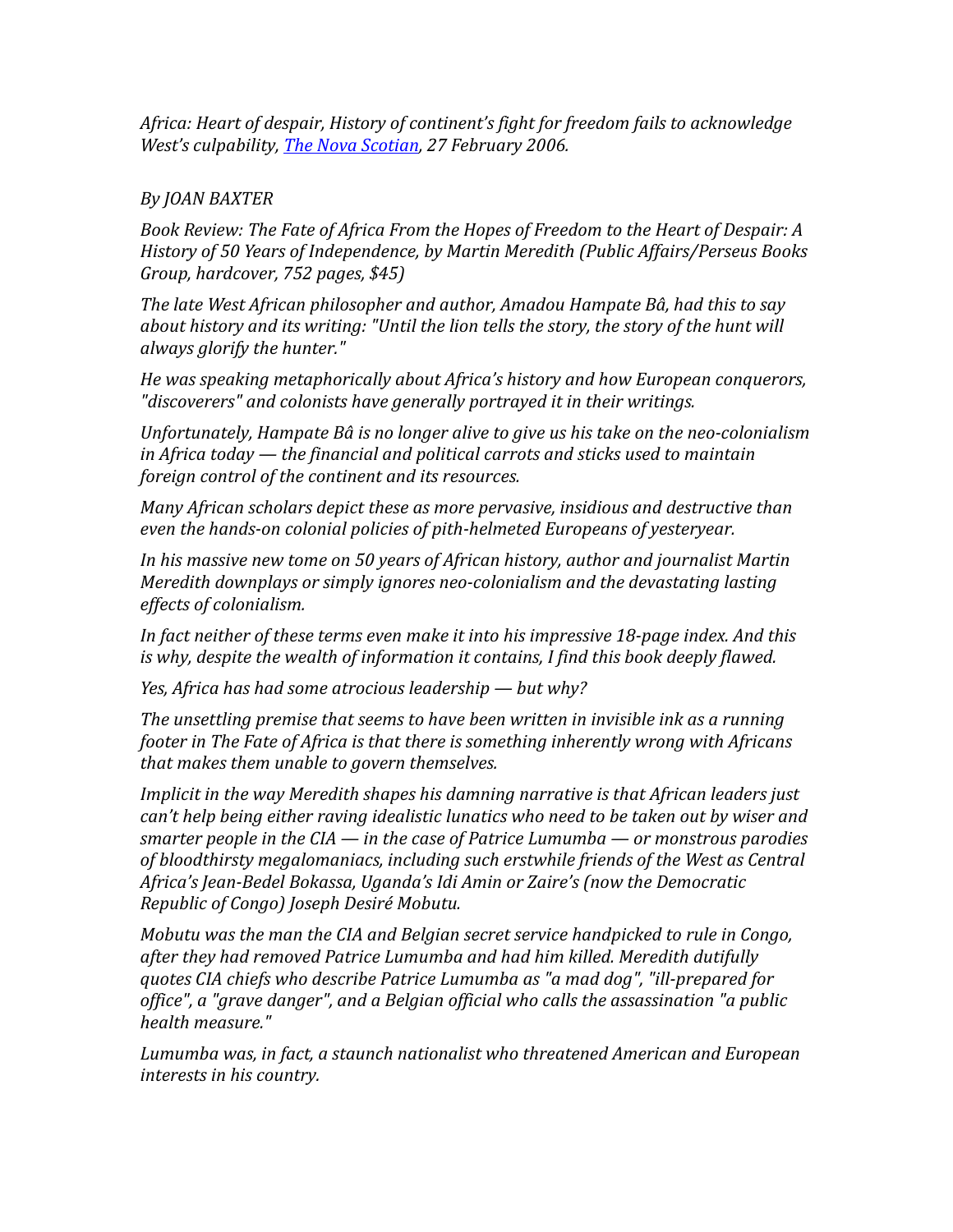*Africa: Heart of despair, History of continent's fight for freedom fails to acknowledge West's culpability, [The Nova Scotian,](file:///Users/joan/Documents/ALL%20DOCS%20JB/chronicle%20herald%202006/2006%2002%2026%20book%20review%20The%20ChronicleHerald_ca.htm) 27 February 2006.* 

## *By JOAN BAXTER*

*Book Review: The Fate of Africa From the Hopes of Freedom to the Heart of Despair: A History of 50 Years of Independence, by Martin Meredith (Public Affairs/Perseus Books Group, hardcover, 752 pages, \$45)*

*The late West African philosopher and author, Amadou Hampate Bâ, had this to say about history and its writing: "Until the lion tells the story, the story of the hunt will always glorify the hunter."*

*He was speaking metaphorically about Africa's history and how European conquerors, "discoverers" and colonists have generally portrayed it in their writings.*

*Unfortunately, Hampate Bâ is no longer alive to give us his take on the neo-colonialism in Africa today — the financial and political carrots and sticks used to maintain foreign control of the continent and its resources.*

*Many African scholars depict these as more pervasive, insidious and destructive than even the hands-on colonial policies of pith-helmeted Europeans of yesteryear.* 

*In his massive new tome on 50 years of African history, author and journalist Martin Meredith downplays or simply ignores neo-colonialism and the devastating lasting effects of colonialism.* 

*In fact neither of these terms even make it into his impressive 18-page index. And this is why, despite the wealth of information it contains, I find this book deeply flawed.* 

*Yes, Africa has had some atrocious leadership — but why?*

*The unsettling premise that seems to have been written in invisible ink as a running footer in The Fate of Africa is that there is something inherently wrong with Africans that makes them unable to govern themselves.* 

*Implicit in the way Meredith shapes his damning narrative is that African leaders just can't help being either raving idealistic lunatics who need to be taken out by wiser and smarter people in the CIA — in the case of Patrice Lumumba — or monstrous parodies of bloodthirsty megalomaniacs, including such erstwhile friends of the West as Central Africa's Jean-Bedel Bokassa, Uganda's Idi Amin or Zaire's (now the Democratic Republic of Congo) Joseph Desiré Mobutu.* 

*Mobutu was the man the CIA and Belgian secret service handpicked to rule in Congo, after they had removed Patrice Lumumba and had him killed. Meredith dutifully quotes CIA chiefs who describe Patrice Lumumba as "a mad dog", "ill-prepared for office", a "grave danger", and a Belgian official who calls the assassination "a public health measure."* 

*Lumumba was, in fact, a staunch nationalist who threatened American and European interests in his country.*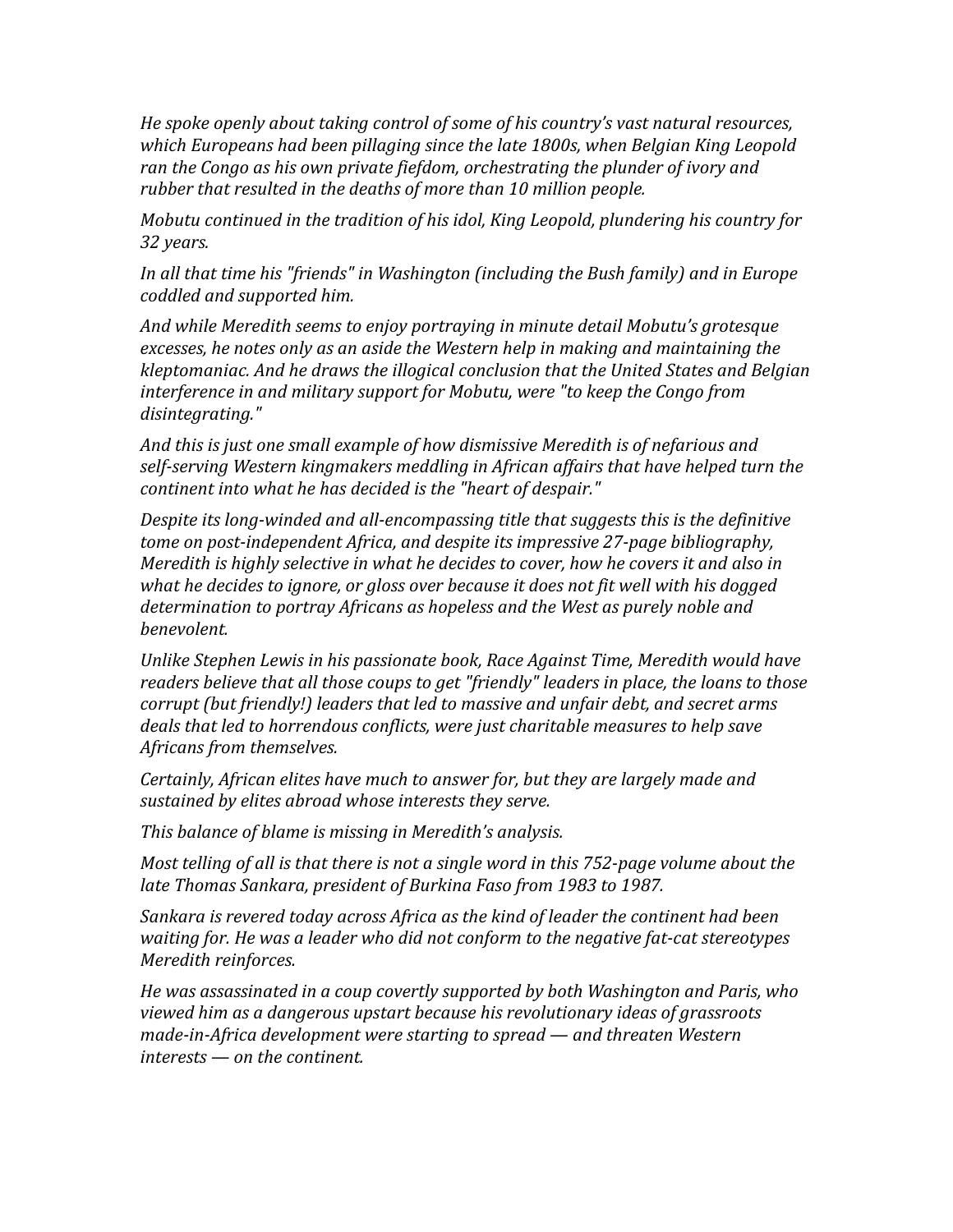*He spoke openly about taking control of some of his country's vast natural resources, which Europeans had been pillaging since the late 1800s, when Belgian King Leopold ran the Congo as his own private fiefdom, orchestrating the plunder of ivory and rubber that resulted in the deaths of more than 10 million people.* 

*Mobutu continued in the tradition of his idol, King Leopold, plundering his country for 32 years.* 

*In all that time his "friends" in Washington (including the Bush family) and in Europe coddled and supported him.* 

*And while Meredith seems to enjoy portraying in minute detail Mobutu's grotesque excesses, he notes only as an aside the Western help in making and maintaining the kleptomaniac. And he draws the illogical conclusion that the United States and Belgian interference in and military support for Mobutu, were "to keep the Congo from disintegrating."*

*And this is just one small example of how dismissive Meredith is of nefarious and self-serving Western kingmakers meddling in African affairs that have helped turn the continent into what he has decided is the "heart of despair."* 

*Despite its long-winded and all-encompassing title that suggests this is the definitive tome on post-independent Africa, and despite its impressive 27-page bibliography, Meredith is highly selective in what he decides to cover, how he covers it and also in what he decides to ignore, or gloss over because it does not fit well with his dogged determination to portray Africans as hopeless and the West as purely noble and benevolent.*

*Unlike Stephen Lewis in his passionate book, Race Against Time, Meredith would have readers believe that all those coups to get "friendly" leaders in place, the loans to those corrupt (but friendly!) leaders that led to massive and unfair debt, and secret arms deals that led to horrendous conflicts, were just charitable measures to help save Africans from themselves.*

*Certainly, African elites have much to answer for, but they are largely made and sustained by elites abroad whose interests they serve.* 

*This balance of blame is missing in Meredith's analysis.*

*Most telling of all is that there is not a single word in this 752-page volume about the late Thomas Sankara, president of Burkina Faso from 1983 to 1987.*

*Sankara is revered today across Africa as the kind of leader the continent had been waiting for. He was a leader who did not conform to the negative fat-cat stereotypes Meredith reinforces.*

*He was assassinated in a coup covertly supported by both Washington and Paris, who viewed him as a dangerous upstart because his revolutionary ideas of grassroots made-in-Africa development were starting to spread — and threaten Western interests — on the continent.*